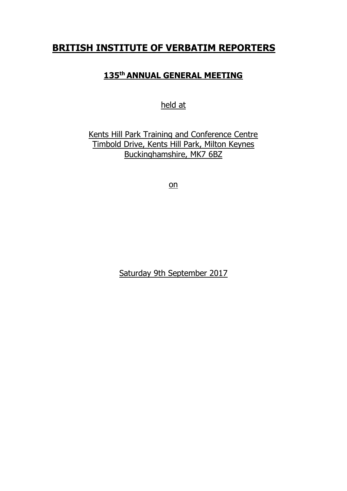# **BRITISH INSTITUTE OF VERBATIM REPORTERS**

## **135th ANNUAL GENERAL MEETING**

held at

Kents Hill Park Training and Conference Centre Timbold Drive, Kents Hill Park, Milton Keynes Buckinghamshire, MK7 6BZ

on

Saturday 9th September 2017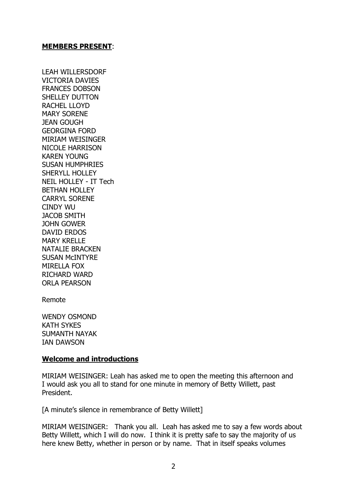#### **MEMBERS PRESENT**:

LEAH WILLERSDORF VICTORIA DAVIES FRANCES DOBSON SHELLEY DUTTON RACHEL LLOYD MARY SORENE JEAN GOUGH GEORGINA FORD MIRIAM WEISINGER NICOLE HARRISON KAREN YOUNG SUSAN HUMPHRIES SHERYLL HOLLEY NEIL HOLLEY - IT Tech BETHAN HOLLEY CARRYL SORENE CINDY WU JACOB SMITH JOHN GOWER DAVID ERDOS MARY KRELLE NATALIE BRACKEN SUSAN McINTYRE MIRELLA FOX RICHARD WARD ORLA PEARSON

Remote

WENDY OSMOND KATH SYKES SUMANTH NAYAK IAN DAWSON

#### **Welcome and introductions**

MIRIAM WEISINGER: Leah has asked me to open the meeting this afternoon and I would ask you all to stand for one minute in memory of Betty Willett, past President.

[A minute's silence in remembrance of Betty Willett]

MIRIAM WEISINGER: Thank you all. Leah has asked me to say a few words about Betty Willett, which I will do now. I think it is pretty safe to say the majority of us here knew Betty, whether in person or by name. That in itself speaks volumes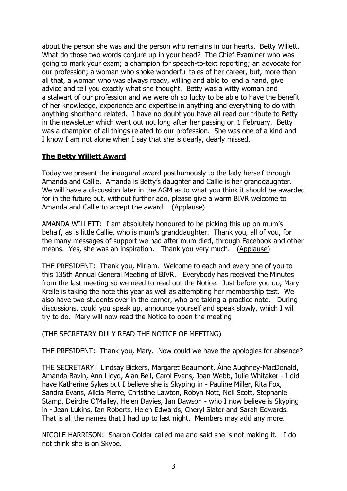about the person she was and the person who remains in our hearts. Betty Willett. What do those two words conjure up in your head? The Chief Examiner who was going to mark your exam; a champion for speech-to-text reporting; an advocate for our profession; a woman who spoke wonderful tales of her career, but, more than all that, a woman who was always ready, willing and able to lend a hand, give advice and tell you exactly what she thought. Betty was a witty woman and a stalwart of our profession and we were oh so lucky to be able to have the benefit of her knowledge, experience and expertise in anything and everything to do with anything shorthand related. I have no doubt you have all read our tribute to Betty in the newsletter which went out not long after her passing on 1 February. Betty was a champion of all things related to our profession. She was one of a kind and I know I am not alone when I say that she is dearly, dearly missed.

### **The Betty Willett Award**

Today we present the inaugural award posthumously to the lady herself through Amanda and Callie. Amanda is Betty's daughter and Callie is her granddaughter. We will have a discussion later in the AGM as to what you think it should be awarded for in the future but, without further ado, please give a warm BIVR welcome to Amanda and Callie to accept the award. (Applause)

AMANDA WILLETT: I am absolutely honoured to be picking this up on mum's behalf, as is little Callie, who is mum's granddaughter. Thank you, all of you, for the many messages of support we had after mum died, through Facebook and other means. Yes, she was an inspiration. Thank you very much. (Applause)

THE PRESIDENT: Thank you, Miriam. Welcome to each and every one of you to this 135th Annual General Meeting of BIVR. Everybody has received the Minutes from the last meeting so we need to read out the Notice. Just before you do, Mary Krelle is taking the note this year as well as attempting her membership test. We also have two students over in the corner, who are taking a practice note. During discussions, could you speak up, announce yourself and speak slowly, which I will try to do. Mary will now read the Notice to open the meeting

(THE SECRETARY DULY READ THE NOTICE OF MEETING)

THE PRESIDENT: Thank you, Mary. Now could we have the apologies for absence?

THE SECRETARY: Lindsay Bickers, Margaret Beaumont, Áine Aughney-MacDonald, Amanda Bavin, Ann Lloyd, Alan Bell, Carol Evans, Joan Webb, Julie Whitaker - I did have Katherine Sykes but I believe she is Skyping in - Pauline Miller, Rita Fox, Sandra Evans, Alicia Pierre, Christine Lawton, Robyn Nott, Neil Scott, Stephanie Stamp, Deirdre O'Malley, Helen Davies, Ian Dawson - who I now believe is Skyping in - Jean Lukins, Ian Roberts, Helen Edwards, Cheryl Slater and Sarah Edwards. That is all the names that I had up to last night. Members may add any more.

NICOLE HARRISON: Sharon Golder called me and said she is not making it. I do not think she is on Skype.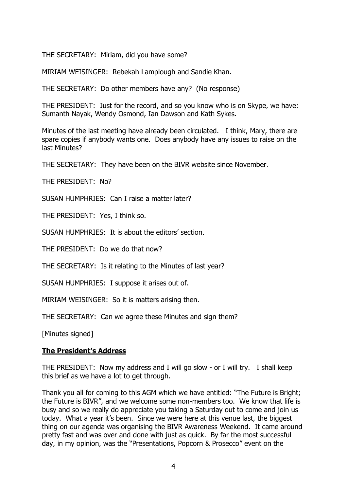THE SECRETARY: Miriam, did you have some?

MIRIAM WEISINGER: Rebekah Lamplough and Sandie Khan.

THE SECRETARY: Do other members have any? (No response)

THE PRESIDENT: Just for the record, and so you know who is on Skype, we have: Sumanth Nayak, Wendy Osmond, Ian Dawson and Kath Sykes.

Minutes of the last meeting have already been circulated. I think, Mary, there are spare copies if anybody wants one. Does anybody have any issues to raise on the last Minutes?

THE SECRETARY: They have been on the BIVR website since November.

THE PRESIDENT: No?

SUSAN HUMPHRIES: Can I raise a matter later?

THE PRESIDENT: Yes, I think so.

SUSAN HUMPHRIES: It is about the editors' section.

THE PRESIDENT: Do we do that now?

THE SECRETARY: Is it relating to the Minutes of last year?

SUSAN HUMPHRIES: I suppose it arises out of.

MIRIAM WEISINGER: So it is matters arising then.

THE SECRETARY: Can we agree these Minutes and sign them?

[Minutes signed]

### **The President's Address**

THE PRESIDENT: Now my address and I will go slow - or I will try. I shall keep this brief as we have a lot to get through.

Thank you all for coming to this AGM which we have entitled: "The Future is Bright; the Future is BIVR", and we welcome some non-members too. We know that life is busy and so we really do appreciate you taking a Saturday out to come and join us today. What a year it's been. Since we were here at this venue last, the biggest thing on our agenda was organising the BIVR Awareness Weekend. It came around pretty fast and was over and done with just as quick. By far the most successful day, in my opinion, was the "Presentations, Popcorn & Prosecco" event on the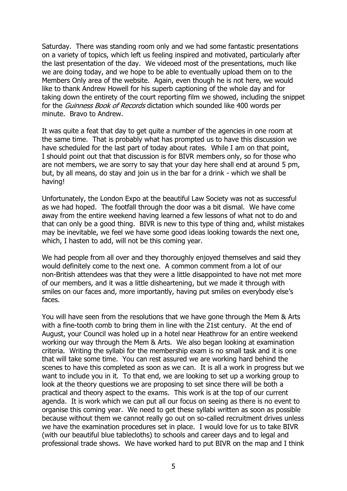Saturday. There was standing room only and we had some fantastic presentations on a variety of topics, which left us feeling inspired and motivated, particularly after the last presentation of the day. We videoed most of the presentations, much like we are doing today, and we hope to be able to eventually upload them on to the Members Only area of the website. Again, even though he is not here, we would like to thank Andrew Howell for his superb captioning of the whole day and for taking down the entirety of the court reporting film we showed, including the snippet for the *Guinness Book of Records* dictation which sounded like 400 words per minute. Bravo to Andrew.

It was quite a feat that day to get quite a number of the agencies in one room at the same time. That is probably what has prompted us to have this discussion we have scheduled for the last part of today about rates. While I am on that point, I should point out that that discussion is for BIVR members only, so for those who are not members, we are sorry to say that your day here shall end at around 5 pm, but, by all means, do stay and join us in the bar for a drink - which we shall be having!

Unfortunately, the London Expo at the beautiful Law Society was not as successful as we had hoped. The footfall through the door was a bit dismal. We have come away from the entire weekend having learned a few lessons of what not to do and that can only be a good thing. BIVR is new to this type of thing and, whilst mistakes may be inevitable, we feel we have some good ideas looking towards the next one, which, I hasten to add, will not be this coming year.

We had people from all over and they thoroughly enjoyed themselves and said they would definitely come to the next one. A common comment from a lot of our non-British attendees was that they were a little disappointed to have not met more of our members, and it was a little disheartening, but we made it through with smiles on our faces and, more importantly, having put smiles on everybody else's faces.

You will have seen from the resolutions that we have gone through the Mem & Arts with a fine-tooth comb to bring them in line with the 21st century. At the end of August, your Council was holed up in a hotel near Heathrow for an entire weekend working our way through the Mem & Arts. We also began looking at examination criteria. Writing the syllabi for the membership exam is no small task and it is one that will take some time. You can rest assured we are working hard behind the scenes to have this completed as soon as we can. It is all a work in progress but we want to include you in it. To that end, we are looking to set up a working group to look at the theory questions we are proposing to set since there will be both a practical and theory aspect to the exams. This work is at the top of our current agenda. It is work which we can put all our focus on seeing as there is no event to organise this coming year. We need to get these syllabi written as soon as possible because without them we cannot really go out on so-called recruitment drives unless we have the examination procedures set in place. I would love for us to take BIVR (with our beautiful blue tablecloths) to schools and career days and to legal and professional trade shows. We have worked hard to put BIVR on the map and I think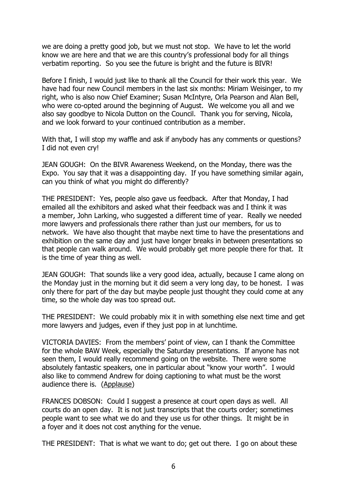we are doing a pretty good job, but we must not stop. We have to let the world know we are here and that we are this country's professional body for all things verbatim reporting. So you see the future is bright and the future is BIVR!

Before I finish, I would just like to thank all the Council for their work this year. We have had four new Council members in the last six months: Miriam Weisinger, to my right, who is also now Chief Examiner; Susan McIntyre, Orla Pearson and Alan Bell, who were co-opted around the beginning of August. We welcome you all and we also say goodbye to Nicola Dutton on the Council. Thank you for serving, Nicola, and we look forward to your continued contribution as a member.

With that, I will stop my waffle and ask if anybody has any comments or questions? I did not even cry!

JEAN GOUGH: On the BIVR Awareness Weekend, on the Monday, there was the Expo. You say that it was a disappointing day. If you have something similar again, can you think of what you might do differently?

THE PRESIDENT: Yes, people also gave us feedback. After that Monday, I had emailed all the exhibitors and asked what their feedback was and I think it was a member, John Larking, who suggested a different time of year. Really we needed more lawyers and professionals there rather than just our members, for us to network. We have also thought that maybe next time to have the presentations and exhibition on the same day and just have longer breaks in between presentations so that people can walk around. We would probably get more people there for that. It is the time of year thing as well.

JEAN GOUGH: That sounds like a very good idea, actually, because I came along on the Monday just in the morning but it did seem a very long day, to be honest. I was only there for part of the day but maybe people just thought they could come at any time, so the whole day was too spread out.

THE PRESIDENT: We could probably mix it in with something else next time and get more lawyers and judges, even if they just pop in at lunchtime.

VICTORIA DAVIES: From the members' point of view, can I thank the Committee for the whole BAW Week, especially the Saturday presentations. If anyone has not seen them, I would really recommend going on the website. There were some absolutely fantastic speakers, one in particular about "know your worth". I would also like to commend Andrew for doing captioning to what must be the worst audience there is. (Applause)

FRANCES DOBSON: Could I suggest a presence at court open days as well. All courts do an open day. It is not just transcripts that the courts order; sometimes people want to see what we do and they use us for other things. It might be in a foyer and it does not cost anything for the venue.

THE PRESIDENT: That is what we want to do; get out there. I go on about these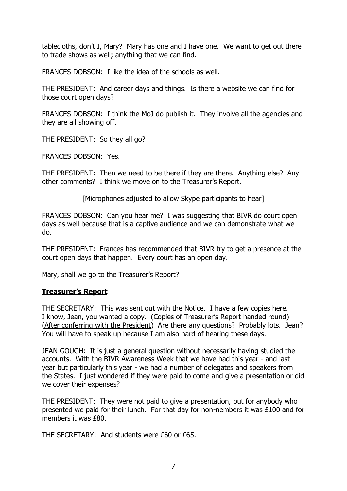tablecloths, don't I, Mary? Mary has one and I have one. We want to get out there to trade shows as well; anything that we can find.

FRANCES DOBSON: I like the idea of the schools as well.

THE PRESIDENT: And career days and things. Is there a website we can find for those court open days?

FRANCES DOBSON: I think the MoJ do publish it. They involve all the agencies and they are all showing off.

THE PRESIDENT: So they all go?

FRANCES DOBSON: Yes.

THE PRESIDENT: Then we need to be there if they are there. Anything else? Any other comments? I think we move on to the Treasurer's Report.

[Microphones adjusted to allow Skype participants to hear]

FRANCES DOBSON: Can you hear me? I was suggesting that BIVR do court open days as well because that is a captive audience and we can demonstrate what we do.

THE PRESIDENT: Frances has recommended that BIVR try to get a presence at the court open days that happen. Every court has an open day.

Mary, shall we go to the Treasurer's Report?

### **Treasurer's Report**

THE SECRETARY: This was sent out with the Notice. I have a few copies here. I know, Jean, you wanted a copy. (Copies of Treasurer's Report handed round) (After conferring with the President) Are there any questions? Probably lots. Jean? You will have to speak up because I am also hard of hearing these days.

JEAN GOUGH: It is just a general question without necessarily having studied the accounts. With the BIVR Awareness Week that we have had this year - and last year but particularly this year - we had a number of delegates and speakers from the States. I just wondered if they were paid to come and give a presentation or did we cover their expenses?

THE PRESIDENT: They were not paid to give a presentation, but for anybody who presented we paid for their lunch. For that day for non-nembers it was £100 and for members it was £80.

THE SECRETARY: And students were £60 or £65.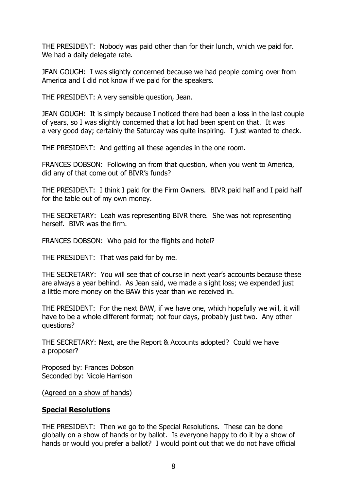THE PRESIDENT: Nobody was paid other than for their lunch, which we paid for. We had a daily delegate rate.

JEAN GOUGH: I was slightly concerned because we had people coming over from America and I did not know if we paid for the speakers.

THE PRESIDENT: A very sensible question, Jean.

JEAN GOUGH: It is simply because I noticed there had been a loss in the last couple of years, so I was slightly concerned that a lot had been spent on that. It was a very good day; certainly the Saturday was quite inspiring. I just wanted to check.

THE PRESIDENT: And getting all these agencies in the one room.

FRANCES DOBSON: Following on from that question, when you went to America, did any of that come out of BIVR's funds?

THE PRESIDENT: I think I paid for the Firm Owners. BIVR paid half and I paid half for the table out of my own money.

THE SECRETARY: Leah was representing BIVR there. She was not representing herself. BIVR was the firm.

FRANCES DOBSON: Who paid for the flights and hotel?

THE PRESIDENT: That was paid for by me.

THE SECRETARY: You will see that of course in next year's accounts because these are always a year behind. As Jean said, we made a slight loss; we expended just a little more money on the BAW this year than we received in.

THE PRESIDENT: For the next BAW, if we have one, which hopefully we will, it will have to be a whole different format; not four days, probably just two. Any other questions?

THE SECRETARY: Next, are the Report & Accounts adopted? Could we have a proposer?

Proposed by: Frances Dobson Seconded by: Nicole Harrison

(Agreed on a show of hands)

### **Special Resolutions**

THE PRESIDENT: Then we go to the Special Resolutions. These can be done globally on a show of hands or by ballot. Is everyone happy to do it by a show of hands or would you prefer a ballot? I would point out that we do not have official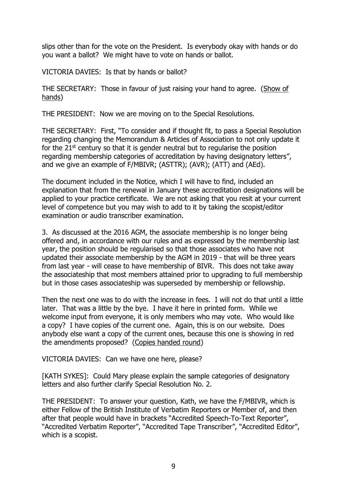slips other than for the vote on the President. Is everybody okay with hands or do you want a ballot? We might have to vote on hands or ballot.

VICTORIA DAVIES: Is that by hands or ballot?

THE SECRETARY: Those in favour of just raising your hand to agree. (Show of hands)

THE PRESIDENT: Now we are moving on to the Special Resolutions.

THE SECRETARY: First, "To consider and if thought fit, to pass a Special Resolution regarding changing the Memorandum & Articles of Association to not only update it for the  $21<sup>st</sup>$  century so that it is gender neutral but to regularise the position regarding membership categories of accreditation by having designatory letters", and we give an example of F/MBIVR; (ASTTR); (AVR); (ATT) and (AEd).

The document included in the Notice, which I will have to find, included an explanation that from the renewal in January these accreditation designations will be applied to your practice certificate. We are not asking that you resit at your current level of competence but you may wish to add to it by taking the scopist/editor examination or audio transcriber examination.

3. As discussed at the 2016 AGM, the associate membership is no longer being offered and, in accordance with our rules and as expressed by the membership last year, the position should be regularised so that those associates who have not updated their associate membership by the AGM in 2019 - that will be three years from last year - will cease to have membership of BIVR. This does not take away the associateship that most members attained prior to upgrading to full membership but in those cases associateship was superseded by membership or fellowship.

Then the next one was to do with the increase in fees. I will not do that until a little later. That was a little by the bye. I have it here in printed form. While we welcome input from everyone, it is only members who may vote. Who would like a copy? I have copies of the current one. Again, this is on our website. Does anybody else want a copy of the current ones, because this one is showing in red the amendments proposed? (Copies handed round)

VICTORIA DAVIES: Can we have one here, please?

[KATH SYKES]: Could Mary please explain the sample categories of designatory letters and also further clarify Special Resolution No. 2.

THE PRESIDENT: To answer your question, Kath, we have the F/MBIVR, which is either Fellow of the British Institute of Verbatim Reporters or Member of, and then after that people would have in brackets "Accredited Speech-To-Text Reporter", "Accredited Verbatim Reporter", "Accredited Tape Transcriber", "Accredited Editor", which is a scopist.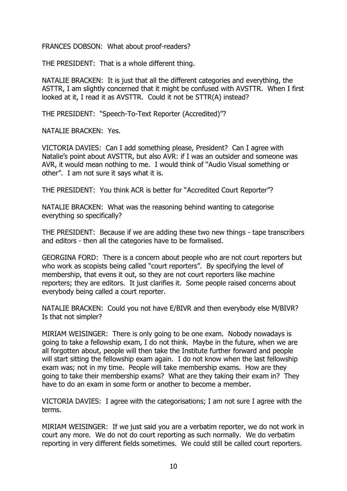FRANCES DOBSON: What about proof-readers?

THE PRESIDENT: That is a whole different thing.

NATALIE BRACKEN: It is just that all the different categories and everything, the ASTTR, I am slightly concerned that it might be confused with AVSTTR. When I first looked at it, I read it as AVSTTR. Could it not be STTR(A) instead?

THE PRESIDENT: "Speech-To-Text Reporter (Accredited)"?

NATALIE BRACKEN: Yes.

VICTORIA DAVIES: Can I add something please, President? Can I agree with Natalie's point about AVSTTR, but also AVR: if I was an outsider and someone was AVR, it would mean nothing to me. I would think of "Audio Visual something or other". I am not sure it says what it is.

THE PRESIDENT: You think ACR is better for "Accredited Court Reporter"?

NATALIE BRACKEN: What was the reasoning behind wanting to categorise everything so specifically?

THE PRESIDENT: Because if we are adding these two new things - tape transcribers and editors - then all the categories have to be formalised.

GEORGINA FORD: There is a concern about people who are not court reporters but who work as scopists being called "court reporters". By specifying the level of membership, that evens it out, so they are not court reporters like machine reporters; they are editors. It just clarifies it. Some people raised concerns about everybody being called a court reporter.

NATALIE BRACKEN: Could you not have E/BIVR and then everybody else M/BIVR? Is that not simpler?

MIRIAM WEISINGER: There is only going to be one exam. Nobody nowadays is going to take a fellowship exam, I do not think. Maybe in the future, when we are all forgotten about, people will then take the Institute further forward and people will start sitting the fellowship exam again. I do not know when the last fellowship exam was; not in my time. People will take membership exams. How are they going to take their membership exams? What are they taking their exam in? They have to do an exam in some form or another to become a member.

VICTORIA DAVIES: I agree with the categorisations; I am not sure I agree with the terms.

MIRIAM WEISINGER: If we just said you are a verbatim reporter, we do not work in court any more. We do not do court reporting as such normally. We do verbatim reporting in very different fields sometimes. We could still be called court reporters.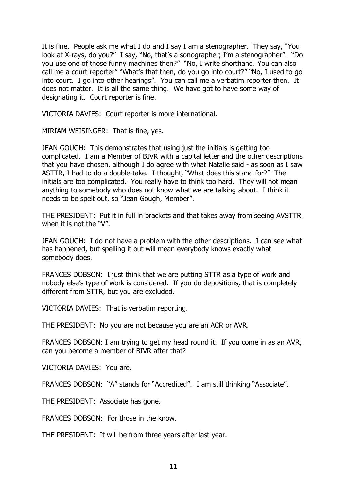It is fine. People ask me what I do and I say I am a stenographer. They say, "You look at X-rays, do you?" I say, "No, that's a sonographer; I'm a stenographer". "Do you use one of those funny machines then?" "No, I write shorthand. You can also call me a court reporter" "What's that then, do you go into court?" "No, I used to go into court. I go into other hearings". You can call me a verbatim reporter then. It does not matter. It is all the same thing. We have got to have some way of designating it. Court reporter is fine.

VICTORIA DAVIES: Court reporter is more international.

MIRIAM WEISINGER: That is fine, yes.

JEAN GOUGH: This demonstrates that using just the initials is getting too complicated. I am a Member of BIVR with a capital letter and the other descriptions that you have chosen, although I do agree with what Natalie said - as soon as I saw ASTTR, I had to do a double-take. I thought, "What does this stand for?" The initials are too complicated. You really have to think too hard. They will not mean anything to somebody who does not know what we are talking about. I think it needs to be spelt out, so "Jean Gough, Member".

THE PRESIDENT: Put it in full in brackets and that takes away from seeing AVSTTR when it is not the "V".

JEAN GOUGH: I do not have a problem with the other descriptions. I can see what has happened, but spelling it out will mean everybody knows exactly what somebody does.

FRANCES DOBSON: I just think that we are putting STTR as a type of work and nobody else's type of work is considered. If you do depositions, that is completely different from STTR, but you are excluded.

VICTORIA DAVIES: That is verbatim reporting.

THE PRESIDENT: No you are not because you are an ACR or AVR.

FRANCES DOBSON: I am trying to get my head round it. If you come in as an AVR, can you become a member of BIVR after that?

VICTORIA DAVIES: You are.

FRANCES DOBSON: "A" stands for "Accredited". I am still thinking "Associate".

THE PRESIDENT: Associate has gone.

FRANCES DOBSON: For those in the know.

THE PRESIDENT: It will be from three years after last year.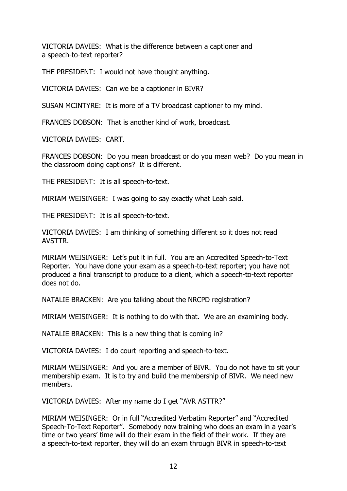VICTORIA DAVIES: What is the difference between a captioner and a speech-to-text reporter?

THE PRESIDENT: I would not have thought anything.

VICTORIA DAVIES: Can we be a captioner in BIVR?

SUSAN MCINTYRE: It is more of a TV broadcast captioner to my mind.

FRANCES DOBSON: That is another kind of work, broadcast.

VICTORIA DAVIES: CART.

FRANCES DOBSON: Do you mean broadcast or do you mean web? Do you mean in the classroom doing captions? It is different.

THE PRESIDENT: It is all speech-to-text.

MIRIAM WEISINGER: I was going to say exactly what Leah said.

THE PRESIDENT: It is all speech-to-text.

VICTORIA DAVIES: I am thinking of something different so it does not read AVSTTR.

MIRIAM WEISINGER: Let's put it in full. You are an Accredited Speech-to-Text Reporter. You have done your exam as a speech-to-text reporter; you have not produced a final transcript to produce to a client, which a speech-to-text reporter does not do.

NATALIE BRACKEN: Are you talking about the NRCPD registration?

MIRIAM WEISINGER: It is nothing to do with that. We are an examining body.

NATALIE BRACKEN: This is a new thing that is coming in?

VICTORIA DAVIES: I do court reporting and speech-to-text.

MIRIAM WEISINGER: And you are a member of BIVR. You do not have to sit your membership exam. It is to try and build the membership of BIVR. We need new members.

VICTORIA DAVIES: After my name do I get "AVR ASTTR?"

MIRIAM WEISINGER: Or in full "Accredited Verbatim Reporter" and "Accredited Speech-To-Text Reporter". Somebody now training who does an exam in a year's time or two years' time will do their exam in the field of their work. If they are a speech-to-text reporter, they will do an exam through BIVR in speech-to-text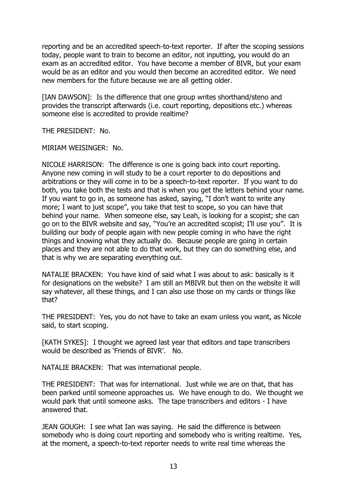reporting and be an accredited speech-to-text reporter. If after the scoping sessions today, people want to train to become an editor, not inputting, you would do an exam as an accredited editor. You have become a member of BIVR, but your exam would be as an editor and you would then become an accredited editor. We need new members for the future because we are all getting older.

[IAN DAWSON]: Is the difference that one group writes shorthand/steno and provides the transcript afterwards (i.e. court reporting, depositions etc.) whereas someone else is accredited to provide realtime?

THE PRESIDENT: No.

MIRIAM WEISINGER: No.

NICOLE HARRISON: The difference is one is going back into court reporting. Anyone new coming in will study to be a court reporter to do depositions and arbitrations or they will come in to be a speech-to-text reporter. If you want to do both, you take both the tests and that is when you get the letters behind your name. If you want to go in, as someone has asked, saying, "I don't want to write any more; I want to just scope", you take that test to scope, so you can have that behind your name. When someone else, say Leah, is looking for a scopist; she can go on to the BIVR website and say, "You're an accredited scopist; I'll use you". It is building our body of people again with new people coming in who have the right things and knowing what they actually do. Because people are going in certain places and they are not able to do that work, but they can do something else, and that is why we are separating everything out.

NATALIE BRACKEN: You have kind of said what I was about to ask: basically is it for designations on the website? I am still an MBIVR but then on the website it will say whatever, all these things, and I can also use those on my cards or things like that?

THE PRESIDENT: Yes, you do not have to take an exam unless you want, as Nicole said, to start scoping.

[KATH SYKES]: I thought we agreed last year that editors and tape transcribers would be described as 'Friends of BIVR'. No.

NATALIE BRACKEN: That was international people.

THE PRESIDENT: That was for international. Just while we are on that, that has been parked until someone approaches us. We have enough to do. We thought we would park that until someone asks. The tape transcribers and editors - I have answered that.

JEAN GOUGH: I see what Ian was saying. He said the difference is between somebody who is doing court reporting and somebody who is writing realtime. Yes, at the moment, a speech-to-text reporter needs to write real time whereas the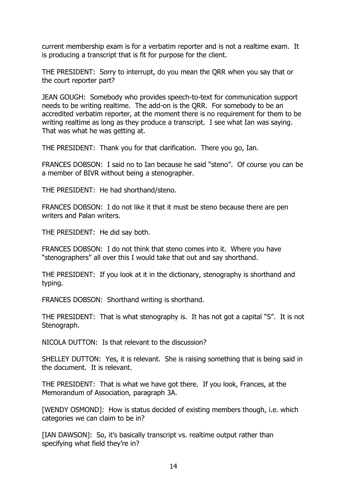current membership exam is for a verbatim reporter and is not a realtime exam. It is producing a transcript that is fit for purpose for the client.

THE PRESIDENT: Sorry to interrupt, do you mean the QRR when you say that or the court reporter part?

JEAN GOUGH: Somebody who provides speech-to-text for communication support needs to be writing realtime. The add-on is the QRR. For somebody to be an accredited verbatim reporter, at the moment there is no requirement for them to be writing realtime as long as they produce a transcript. I see what Ian was saying. That was what he was getting at.

THE PRESIDENT: Thank you for that clarification. There you go, Ian.

FRANCES DOBSON: I said no to Ian because he said "steno". Of course you can be a member of BIVR without being a stenographer.

THE PRESIDENT: He had shorthand/steno.

FRANCES DOBSON: I do not like it that it must be steno because there are pen writers and Palan writers.

THE PRESIDENT: He did say both.

FRANCES DOBSON: I do not think that steno comes into it. Where you have "stenographers" all over this I would take that out and say shorthand.

THE PRESIDENT: If you look at it in the dictionary, stenography is shorthand and typing.

FRANCES DOBSON: Shorthand writing is shorthand.

THE PRESIDENT: That is what stenography is. It has not got a capital "S". It is not Stenograph.

NICOLA DUTTON: Is that relevant to the discussion?

SHELLEY DUTTON: Yes, it is relevant. She is raising something that is being said in the document. It is relevant.

THE PRESIDENT: That is what we have got there. If you look, Frances, at the Memorandum of Association, paragraph 3A.

[WENDY OSMOND]: How is status decided of existing members though, i.e. which categories we can claim to be in?

[IAN DAWSON]: So, it's basically transcript vs. realtime output rather than specifying what field they're in?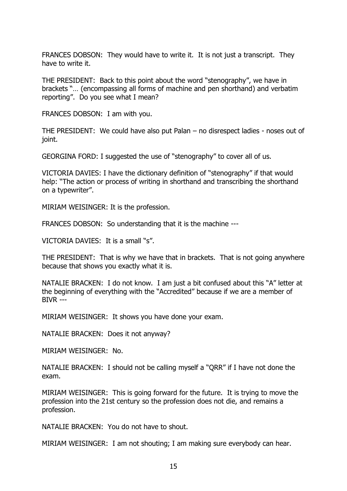FRANCES DOBSON: They would have to write it. It is not just a transcript. They have to write it.

THE PRESIDENT: Back to this point about the word "stenography", we have in brackets "… (encompassing all forms of machine and pen shorthand) and verbatim reporting". Do you see what I mean?

FRANCES DOBSON: I am with you.

THE PRESIDENT: We could have also put Palan – no disrespect ladies - noses out of joint.

GEORGINA FORD: I suggested the use of "stenography" to cover all of us.

VICTORIA DAVIES: I have the dictionary definition of "stenography" if that would help: "The action or process of writing in shorthand and transcribing the shorthand on a typewriter".

MIRIAM WEISINGER: It is the profession.

FRANCES DOBSON: So understanding that it is the machine ---

VICTORIA DAVIES: It is a small "s".

THE PRESIDENT: That is why we have that in brackets. That is not going anywhere because that shows you exactly what it is.

NATALIE BRACKEN: I do not know. I am just a bit confused about this "A" letter at the beginning of everything with the "Accredited" because if we are a member of BIVR ---

MIRIAM WEISINGER: It shows you have done your exam.

NATALIE BRACKEN: Does it not anyway?

MIRIAM WEISINGER: No.

NATALIE BRACKEN: I should not be calling myself a "QRR" if I have not done the exam.

MIRIAM WEISINGER: This is going forward for the future. It is trying to move the profession into the 21st century so the profession does not die, and remains a profession.

NATALIE BRACKEN: You do not have to shout.

MIRIAM WEISINGER: I am not shouting; I am making sure everybody can hear.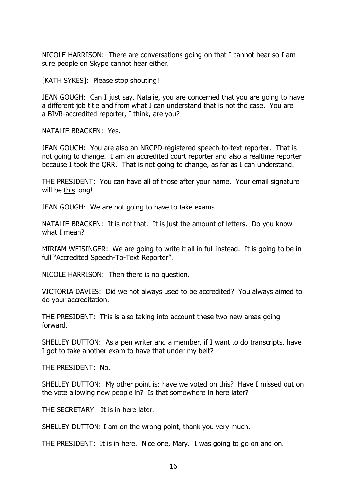NICOLE HARRISON: There are conversations going on that I cannot hear so I am sure people on Skype cannot hear either.

[KATH SYKES]: Please stop shouting!

JEAN GOUGH: Can I just say, Natalie, you are concerned that you are going to have a different job title and from what I can understand that is not the case. You are a BIVR-accredited reporter, I think, are you?

NATALIE BRACKEN: Yes.

JEAN GOUGH: You are also an NRCPD-registered speech-to-text reporter. That is not going to change. I am an accredited court reporter and also a realtime reporter because I took the QRR. That is not going to change, as far as I can understand.

THE PRESIDENT: You can have all of those after your name. Your email signature will be this long!

JEAN GOUGH: We are not going to have to take exams.

NATALIE BRACKEN: It is not that. It is just the amount of letters. Do you know what I mean?

MIRIAM WEISINGER: We are going to write it all in full instead. It is going to be in full "Accredited Speech-To-Text Reporter".

NICOLE HARRISON: Then there is no question.

VICTORIA DAVIES: Did we not always used to be accredited? You always aimed to do your accreditation.

THE PRESIDENT: This is also taking into account these two new areas going forward.

SHELLEY DUTTON: As a pen writer and a member, if I want to do transcripts, have I got to take another exam to have that under my belt?

THE PRESIDENT: No.

SHELLEY DUTTON: My other point is: have we voted on this? Have I missed out on the vote allowing new people in? Is that somewhere in here later?

THE SECRETARY: It is in here later.

SHELLEY DUTTON: I am on the wrong point, thank you very much.

THE PRESIDENT: It is in here. Nice one, Mary. I was going to go on and on.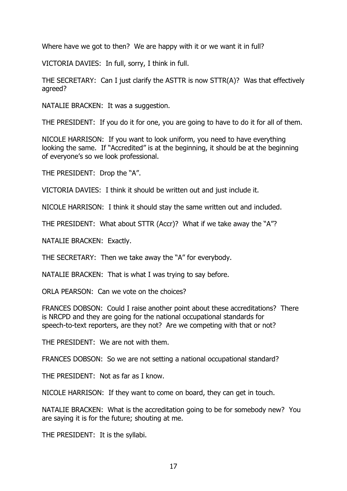Where have we got to then? We are happy with it or we want it in full?

VICTORIA DAVIES: In full, sorry, I think in full.

THE SECRETARY: Can I just clarify the ASTTR is now STTR(A)? Was that effectively agreed?

NATALIE BRACKEN: It was a suggestion.

THE PRESIDENT: If you do it for one, you are going to have to do it for all of them.

NICOLE HARRISON: If you want to look uniform, you need to have everything looking the same. If "Accredited" is at the beginning, it should be at the beginning of everyone's so we look professional.

THE PRESIDENT: Drop the "A".

VICTORIA DAVIES: I think it should be written out and just include it.

NICOLE HARRISON: I think it should stay the same written out and included.

THE PRESIDENT: What about STTR (Accr)? What if we take away the "A"?

NATALIE BRACKEN: Exactly.

THE SECRETARY: Then we take away the "A" for everybody.

NATALIE BRACKEN: That is what I was trying to say before.

ORLA PEARSON: Can we vote on the choices?

FRANCES DOBSON: Could I raise another point about these accreditations? There is NRCPD and they are going for the national occupational standards for speech-to-text reporters, are they not? Are we competing with that or not?

THE PRESIDENT: We are not with them.

FRANCES DOBSON: So we are not setting a national occupational standard?

THE PRESIDENT: Not as far as I know.

NICOLE HARRISON: If they want to come on board, they can get in touch.

NATALIE BRACKEN: What is the accreditation going to be for somebody new? You are saying it is for the future; shouting at me.

THE PRESIDENT: It is the syllabi.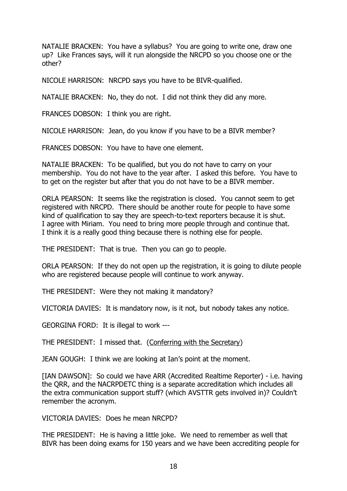NATALIE BRACKEN: You have a syllabus? You are going to write one, draw one up? Like Frances says, will it run alongside the NRCPD so you choose one or the other?

NICOLE HARRISON: NRCPD says you have to be BIVR-qualified.

NATALIE BRACKEN: No, they do not. I did not think they did any more.

FRANCES DOBSON: I think you are right.

NICOLE HARRISON: Jean, do you know if you have to be a BIVR member?

FRANCES DOBSON: You have to have one element.

NATALIE BRACKEN: To be qualified, but you do not have to carry on your membership. You do not have to the year after. I asked this before. You have to to get on the register but after that you do not have to be a BIVR member.

ORLA PEARSON: It seems like the registration is closed. You cannot seem to get registered with NRCPD. There should be another route for people to have some kind of qualification to say they are speech-to-text reporters because it is shut. I agree with Miriam. You need to bring more people through and continue that. I think it is a really good thing because there is nothing else for people.

THE PRESIDENT: That is true. Then you can go to people.

ORLA PEARSON: If they do not open up the registration, it is going to dilute people who are registered because people will continue to work anyway.

THE PRESIDENT: Were they not making it mandatory?

VICTORIA DAVIES: It is mandatory now, is it not, but nobody takes any notice.

GEORGINA FORD: It is illegal to work ---

THE PRESIDENT: I missed that. (Conferring with the Secretary)

JEAN GOUGH: I think we are looking at Ian's point at the moment.

[IAN DAWSON]: So could we have ARR (Accredited Realtime Reporter) - i.e. having the QRR, and the NACRPDETC thing is a separate accreditation which includes all the extra communication support stuff? (which AVSTTR gets involved in)? Couldn't remember the acronym.

VICTORIA DAVIES: Does he mean NRCPD?

THE PRESIDENT: He is having a little joke. We need to remember as well that BIVR has been doing exams for 150 years and we have been accrediting people for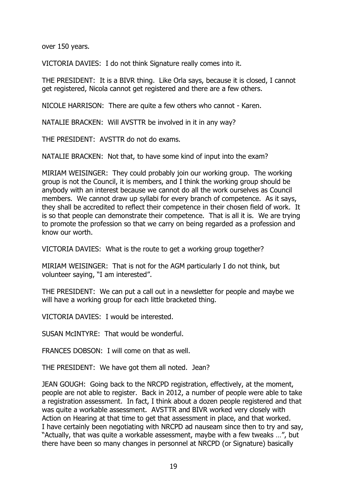over 150 years.

VICTORIA DAVIES: I do not think Signature really comes into it.

THE PRESIDENT: It is a BIVR thing. Like Orla says, because it is closed, I cannot get registered, Nicola cannot get registered and there are a few others.

NICOLE HARRISON: There are quite a few others who cannot - Karen.

NATALIE BRACKEN: Will AVSTTR be involved in it in any way?

THE PRESIDENT: AVSTTR do not do exams.

NATALIE BRACKEN: Not that, to have some kind of input into the exam?

MIRIAM WEISINGER: They could probably join our working group. The working group is not the Council, it is members, and I think the working group should be anybody with an interest because we cannot do all the work ourselves as Council members. We cannot draw up syllabi for every branch of competence. As it says, they shall be accredited to reflect their competence in their chosen field of work. It is so that people can demonstrate their competence. That is all it is. We are trying to promote the profession so that we carry on being regarded as a profession and know our worth.

VICTORIA DAVIES: What is the route to get a working group together?

MIRIAM WEISINGER: That is not for the AGM particularly I do not think, but volunteer saying, "I am interested".

THE PRESIDENT: We can put a call out in a newsletter for people and maybe we will have a working group for each little bracketed thing.

VICTORIA DAVIES: I would be interested.

SUSAN McINTYRE: That would be wonderful.

FRANCES DOBSON: I will come on that as well.

THE PRESIDENT: We have got them all noted. Jean?

JEAN GOUGH: Going back to the NRCPD registration, effectively, at the moment, people are not able to register. Back in 2012, a number of people were able to take a registration assessment. In fact, I think about a dozen people registered and that was quite a workable assessment. AVSTTR and BIVR worked very closely with Action on Hearing at that time to get that assessment in place, and that worked. I have certainly been negotiating with NRCPD ad nauseam since then to try and say, "Actually, that was quite a workable assessment, maybe with a few tweaks …", but there have been so many changes in personnel at NRCPD (or Signature) basically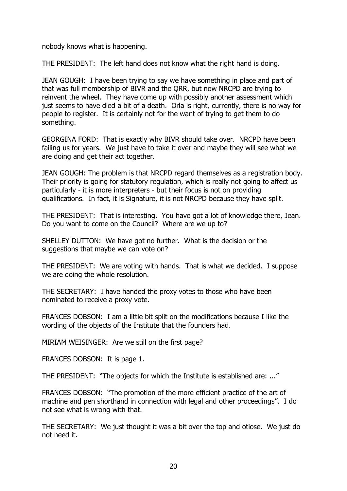nobody knows what is happening.

THE PRESIDENT: The left hand does not know what the right hand is doing.

JEAN GOUGH: I have been trying to say we have something in place and part of that was full membership of BIVR and the QRR, but now NRCPD are trying to reinvent the wheel. They have come up with possibly another assessment which just seems to have died a bit of a death. Orla is right, currently, there is no way for people to register. It is certainly not for the want of trying to get them to do something.

GEORGINA FORD: That is exactly why BIVR should take over. NRCPD have been failing us for years. We just have to take it over and maybe they will see what we are doing and get their act together.

JEAN GOUGH: The problem is that NRCPD regard themselves as a registration body. Their priority is going for statutory regulation, which is really not going to affect us particularly - it is more interpreters - but their focus is not on providing qualifications. In fact, it is Signature, it is not NRCPD because they have split.

THE PRESIDENT: That is interesting. You have got a lot of knowledge there, Jean. Do you want to come on the Council? Where are we up to?

SHELLEY DUTTON: We have got no further. What is the decision or the suggestions that maybe we can vote on?

THE PRESIDENT: We are voting with hands. That is what we decided. I suppose we are doing the whole resolution.

THE SECRETARY: I have handed the proxy votes to those who have been nominated to receive a proxy vote.

FRANCES DOBSON: I am a little bit split on the modifications because I like the wording of the objects of the Institute that the founders had.

MIRIAM WEISINGER: Are we still on the first page?

FRANCES DOBSON: It is page 1.

THE PRESIDENT: "The objects for which the Institute is established are: ..."

FRANCES DOBSON: "The promotion of the more efficient practice of the art of machine and pen shorthand in connection with legal and other proceedings". I do not see what is wrong with that.

THE SECRETARY: We just thought it was a bit over the top and otiose. We just do not need it.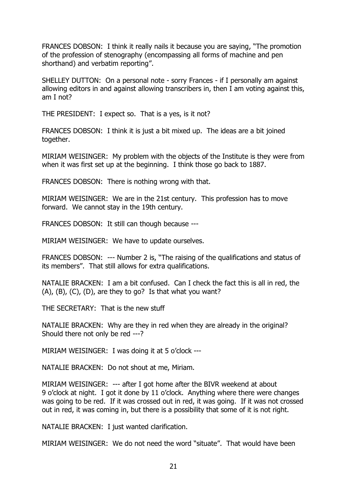FRANCES DOBSON: I think it really nails it because you are saying, "The promotion of the profession of stenography (encompassing all forms of machine and pen shorthand) and verbatim reporting".

SHELLEY DUTTON: On a personal note - sorry Frances - if I personally am against allowing editors in and against allowing transcribers in, then I am voting against this, am I not?

THE PRESIDENT: I expect so. That is a yes, is it not?

FRANCES DOBSON: I think it is just a bit mixed up. The ideas are a bit joined together.

MIRIAM WEISINGER: My problem with the objects of the Institute is they were from when it was first set up at the beginning. I think those go back to 1887.

FRANCES DOBSON: There is nothing wrong with that.

MIRIAM WEISINGER: We are in the 21st century. This profession has to move forward. We cannot stay in the 19th century.

FRANCES DOBSON: It still can though because ---

MIRIAM WEISINGER: We have to update ourselves.

FRANCES DOBSON: --- Number 2 is, "The raising of the qualifications and status of its members". That still allows for extra qualifications.

NATALIE BRACKEN: I am a bit confused. Can I check the fact this is all in red, the  $(A)$ ,  $(B)$ ,  $(C)$ ,  $(D)$ , are they to go? Is that what you want?

THE SECRETARY: That is the new stuff

NATALIE BRACKEN: Why are they in red when they are already in the original? Should there not only be red ---?

MIRIAM WEISINGER: I was doing it at 5 o'clock ---

NATALIE BRACKEN: Do not shout at me, Miriam.

MIRIAM WEISINGER: --- after I got home after the BIVR weekend at about 9 o'clock at night. I got it done by 11 o'clock. Anything where there were changes was going to be red. If it was crossed out in red, it was going. If it was not crossed out in red, it was coming in, but there is a possibility that some of it is not right.

NATALIE BRACKEN: I just wanted clarification.

MIRIAM WEISINGER: We do not need the word "situate". That would have been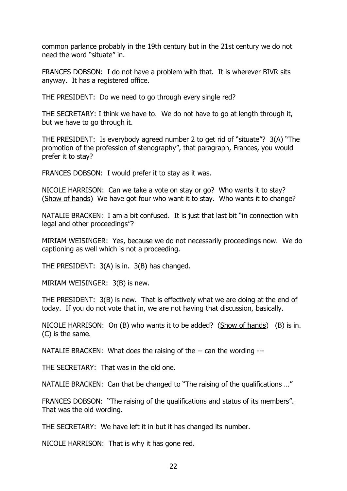common parlance probably in the 19th century but in the 21st century we do not need the word "situate" in.

FRANCES DOBSON: I do not have a problem with that. It is wherever BIVR sits anyway. It has a registered office.

THE PRESIDENT: Do we need to go through every single red?

THE SECRETARY: I think we have to. We do not have to go at length through it, but we have to go through it.

THE PRESIDENT: Is everybody agreed number 2 to get rid of "situate"? 3(A) "The promotion of the profession of stenography", that paragraph, Frances, you would prefer it to stay?

FRANCES DOBSON: I would prefer it to stay as it was.

NICOLE HARRISON: Can we take a vote on stay or go? Who wants it to stay? (Show of hands) We have got four who want it to stay. Who wants it to change?

NATALIE BRACKEN: I am a bit confused. It is just that last bit "in connection with legal and other proceedings"?

MIRIAM WEISINGER: Yes, because we do not necessarily proceedings now. We do captioning as well which is not a proceeding.

THE PRESIDENT: 3(A) is in. 3(B) has changed.

MIRIAM WEISINGER: 3(B) is new.

THE PRESIDENT: 3(B) is new. That is effectively what we are doing at the end of today. If you do not vote that in, we are not having that discussion, basically.

NICOLE HARRISON: On (B) who wants it to be added? (Show of hands) (B) is in. (C) is the same.

NATALIE BRACKEN: What does the raising of the -- can the wording ---

THE SECRETARY: That was in the old one.

NATALIE BRACKEN: Can that be changed to "The raising of the qualifications …"

FRANCES DOBSON: "The raising of the qualifications and status of its members". That was the old wording.

THE SECRETARY: We have left it in but it has changed its number.

NICOLE HARRISON: That is why it has gone red.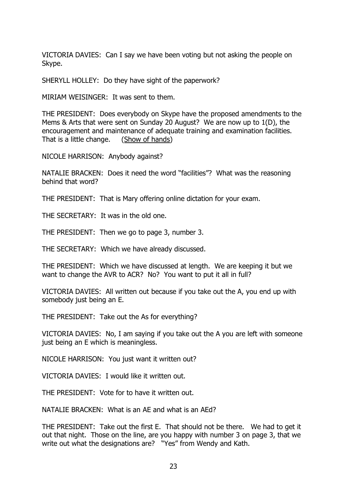VICTORIA DAVIES: Can I say we have been voting but not asking the people on Skype.

SHERYLL HOLLEY: Do they have sight of the paperwork?

MIRIAM WEISINGER: It was sent to them.

THE PRESIDENT: Does everybody on Skype have the proposed amendments to the Mems & Arts that were sent on Sunday 20 August? We are now up to 1(D), the encouragement and maintenance of adequate training and examination facilities. That is a little change. (Show of hands)

NICOLE HARRISON: Anybody against?

NATALIE BRACKEN: Does it need the word "facilities"? What was the reasoning behind that word?

THE PRESIDENT: That is Mary offering online dictation for your exam.

THE SECRETARY: It was in the old one.

THE PRESIDENT: Then we go to page 3, number 3.

THE SECRETARY: Which we have already discussed.

THE PRESIDENT: Which we have discussed at length. We are keeping it but we want to change the AVR to ACR? No? You want to put it all in full?

VICTORIA DAVIES: All written out because if you take out the A, you end up with somebody just being an E.

THE PRESIDENT: Take out the As for everything?

VICTORIA DAVIES: No, I am saying if you take out the A you are left with someone just being an E which is meaningless.

NICOLE HARRISON: You just want it written out?

VICTORIA DAVIES: I would like it written out.

THE PRESIDENT: Vote for to have it written out.

NATALIE BRACKEN: What is an AE and what is an AEd?

THE PRESIDENT: Take out the first E. That should not be there. We had to get it out that night. Those on the line, are you happy with number 3 on page 3, that we write out what the designations are? "Yes" from Wendy and Kath.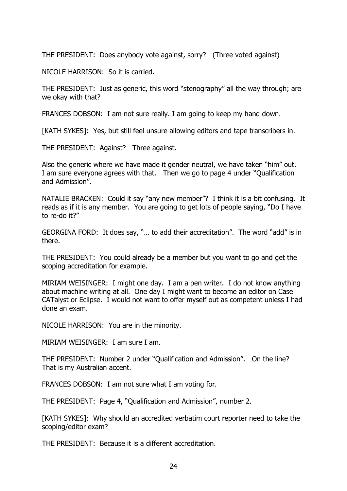THE PRESIDENT: Does anybody vote against, sorry? (Three voted against)

NICOLE HARRISON: So it is carried.

THE PRESIDENT: Just as generic, this word "stenography" all the way through; are we okay with that?

FRANCES DOBSON: I am not sure really. I am going to keep my hand down.

[KATH SYKES]: Yes, but still feel unsure allowing editors and tape transcribers in.

THE PRESIDENT: Against? Three against.

Also the generic where we have made it gender neutral, we have taken "him" out. I am sure everyone agrees with that. Then we go to page 4 under "Qualification and Admission".

NATALIE BRACKEN: Could it say "any new member"? I think it is a bit confusing. It reads as if it is any member. You are going to get lots of people saying, "Do I have to re-do it?"

GEORGINA FORD: It does say, "… to add their accreditation". The word "add" is in there.

THE PRESIDENT: You could already be a member but you want to go and get the scoping accreditation for example.

MIRIAM WEISINGER: I might one day. I am a pen writer. I do not know anything about machine writing at all. One day I might want to become an editor on Case CATalyst or Eclipse. I would not want to offer myself out as competent unless I had done an exam.

NICOLE HARRISON: You are in the minority.

MIRIAM WEISINGER: I am sure I am.

THE PRESIDENT: Number 2 under "Qualification and Admission". On the line? That is my Australian accent.

FRANCES DOBSON: I am not sure what I am voting for.

THE PRESIDENT: Page 4, "Qualification and Admission", number 2.

[KATH SYKES]: Why should an accredited verbatim court reporter need to take the scoping/editor exam?

THE PRESIDENT: Because it is a different accreditation.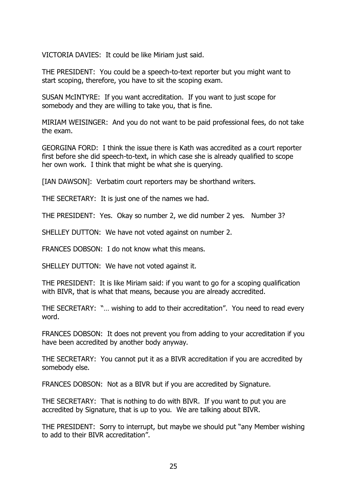VICTORIA DAVIES: It could be like Miriam just said.

THE PRESIDENT: You could be a speech-to-text reporter but you might want to start scoping, therefore, you have to sit the scoping exam.

SUSAN McINTYRE: If you want accreditation. If you want to just scope for somebody and they are willing to take you, that is fine.

MIRIAM WEISINGER: And you do not want to be paid professional fees, do not take the exam.

GEORGINA FORD: I think the issue there is Kath was accredited as a court reporter first before she did speech-to-text, in which case she is already qualified to scope her own work. I think that might be what she is querying.

[IAN DAWSON]: Verbatim court reporters may be shorthand writers.

THE SECRETARY: It is just one of the names we had.

THE PRESIDENT: Yes. Okay so number 2, we did number 2 yes. Number 3?

SHELLEY DUTTON: We have not voted against on number 2.

FRANCES DOBSON: I do not know what this means.

SHELLEY DUTTON: We have not voted against it.

THE PRESIDENT: It is like Miriam said: if you want to go for a scoping qualification with BIVR, that is what that means, because you are already accredited.

THE SECRETARY: "… wishing to add to their accreditation". You need to read every word.

FRANCES DOBSON: It does not prevent you from adding to your accreditation if you have been accredited by another body anyway.

THE SECRETARY: You cannot put it as a BIVR accreditation if you are accredited by somebody else.

FRANCES DOBSON: Not as a BIVR but if you are accredited by Signature.

THE SECRETARY: That is nothing to do with BIVR. If you want to put you are accredited by Signature, that is up to you. We are talking about BIVR.

THE PRESIDENT: Sorry to interrupt, but maybe we should put "any Member wishing to add to their BIVR accreditation".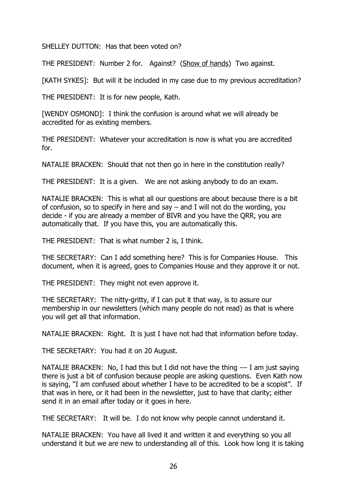SHELLEY DUTTON: Has that been voted on?

THE PRESIDENT: Number 2 for. Against? (Show of hands) Two against.

[KATH SYKES]: But will it be included in my case due to my previous accreditation?

THE PRESIDENT: It is for new people, Kath.

[WENDY OSMOND]: I think the confusion is around what we will already be accredited for as existing members.

THE PRESIDENT: Whatever your accreditation is now is what you are accredited for.

NATALIE BRACKEN: Should that not then go in here in the constitution really?

THE PRESIDENT: It is a given. We are not asking anybody to do an exam.

NATALIE BRACKEN: This is what all our questions are about because there is a bit of confusion, so to specify in here and say – and I will not do the wording, you decide - if you are already a member of BIVR and you have the QRR, you are automatically that. If you have this, you are automatically this.

THE PRESIDENT: That is what number 2 is, I think.

THE SECRETARY: Can I add something here? This is for Companies House. This document, when it is agreed, goes to Companies House and they approve it or not.

THE PRESIDENT: They might not even approve it.

THE SECRETARY: The nitty-gritty, if I can put it that way, is to assure our membership in our newsletters (which many people do not read) as that is where you will get all that information.

NATALIE BRACKEN: Right. It is just I have not had that information before today.

THE SECRETARY: You had it on 20 August.

NATALIE BRACKEN: No, I had this but I did not have the thing --- I am just saying there is just a bit of confusion because people are asking questions. Even Kath now is saying, "I am confused about whether I have to be accredited to be a scopist". If that was in here, or it had been in the newsletter, just to have that clarity; either send it in an email after today or it goes in here.

THE SECRETARY: It will be. I do not know why people cannot understand it.

NATALIE BRACKEN: You have all lived it and written it and everything so you all understand it but we are new to understanding all of this. Look how long it is taking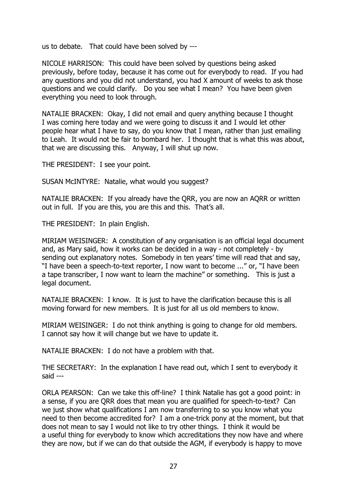us to debate. That could have been solved by ---

NICOLE HARRISON: This could have been solved by questions being asked previously, before today, because it has come out for everybody to read. If you had any questions and you did not understand, you had X amount of weeks to ask those questions and we could clarify. Do you see what I mean? You have been given everything you need to look through.

NATALIE BRACKEN: Okay, I did not email and query anything because I thought I was coming here today and we were going to discuss it and I would let other people hear what I have to say, do you know that I mean, rather than just emailing to Leah. It would not be fair to bombard her. I thought that is what this was about, that we are discussing this. Anyway, I will shut up now.

THE PRESIDENT: I see your point.

SUSAN McINTYRE: Natalie, what would you suggest?

NATALIE BRACKEN: If you already have the QRR, you are now an AQRR or written out in full. If you are this, you are this and this. That's all.

THE PRESIDENT: In plain English.

MIRIAM WEISINGER: A constitution of any organisation is an official legal document and, as Mary said, how it works can be decided in a way - not completely - by sending out explanatory notes. Somebody in ten years' time will read that and say, "I have been a speech-to-text reporter, I now want to become ..." or, "I have been a tape transcriber, I now want to learn the machine" or something. This is just a legal document.

NATALIE BRACKEN: I know. It is just to have the clarification because this is all moving forward for new members. It is just for all us old members to know.

MIRIAM WEISINGER: I do not think anything is going to change for old members. I cannot say how it will change but we have to update it.

NATALIE BRACKEN: I do not have a problem with that.

THE SECRETARY: In the explanation I have read out, which I sent to everybody it said ---

ORLA PEARSON: Can we take this off-line? I think Natalie has got a good point: in a sense, if you are QRR does that mean you are qualified for speech-to-text? Can we just show what qualifications I am now transferring to so you know what you need to then become accredited for? I am a one-trick pony at the moment, but that does not mean to say I would not like to try other things. I think it would be a useful thing for everybody to know which accreditations they now have and where they are now, but if we can do that outside the AGM, if everybody is happy to move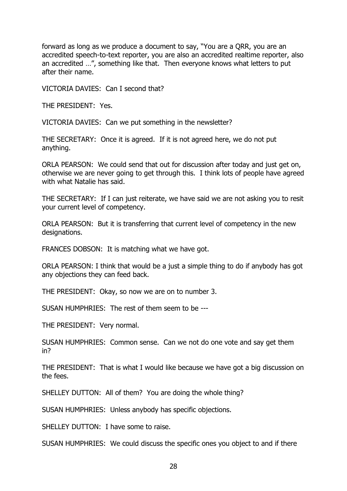forward as long as we produce a document to say, "You are a QRR, you are an accredited speech-to-text reporter, you are also an accredited realtime reporter, also an accredited …", something like that. Then everyone knows what letters to put after their name.

VICTORIA DAVIES: Can I second that?

THE PRESIDENT: Yes.

VICTORIA DAVIES: Can we put something in the newsletter?

THE SECRETARY: Once it is agreed. If it is not agreed here, we do not put anything.

ORLA PEARSON: We could send that out for discussion after today and just get on, otherwise we are never going to get through this. I think lots of people have agreed with what Natalie has said.

THE SECRETARY: If I can just reiterate, we have said we are not asking you to resit your current level of competency.

ORLA PEARSON: But it is transferring that current level of competency in the new designations.

FRANCES DOBSON: It is matching what we have got.

ORLA PEARSON: I think that would be a just a simple thing to do if anybody has got any objections they can feed back.

THE PRESIDENT: Okay, so now we are on to number 3.

SUSAN HUMPHRIES: The rest of them seem to be ---

THE PRESIDENT: Very normal.

SUSAN HUMPHRIES: Common sense. Can we not do one vote and say get them in?

THE PRESIDENT: That is what I would like because we have got a big discussion on the fees.

SHELLEY DUTTON: All of them? You are doing the whole thing?

SUSAN HUMPHRIES: Unless anybody has specific objections.

SHELLEY DUTTON: I have some to raise.

SUSAN HUMPHRIES: We could discuss the specific ones you object to and if there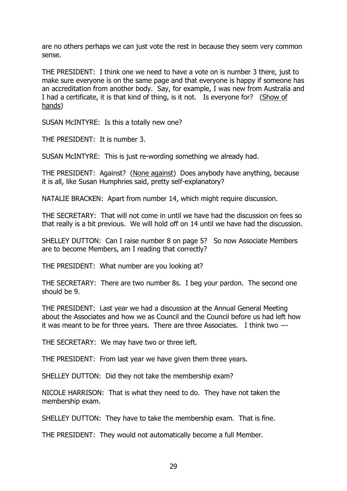are no others perhaps we can just vote the rest in because they seem very common sense.

THE PRESIDENT: I think one we need to have a vote on is number 3 there, just to make sure everyone is on the same page and that everyone is happy if someone has an accreditation from another body. Say, for example, I was new from Australia and I had a certificate, it is that kind of thing, is it not. Is everyone for? (Show of hands)

SUSAN McINTYRE: Is this a totally new one?

THE PRESIDENT: It is number 3.

SUSAN McINTYRE: This is just re-wording something we already had.

THE PRESIDENT: Against? (None against) Does anybody have anything, because it is all, like Susan Humphries said, pretty self-explanatory?

NATALIE BRACKEN: Apart from number 14, which might require discussion.

THE SECRETARY: That will not come in until we have had the discussion on fees so that really is a bit previous. We will hold off on 14 until we have had the discussion.

SHELLEY DUTTON: Can I raise number 8 on page 5? So now Associate Members are to become Members, am I reading that correctly?

THE PRESIDENT: What number are you looking at?

THE SECRETARY: There are two number 8s. I beg your pardon. The second one should be 9.

THE PRESIDENT: Last year we had a discussion at the Annual General Meeting about the Associates and how we as Council and the Council before us had left how it was meant to be for three years. There are three Associates. I think two ---

THE SECRETARY: We may have two or three left.

THE PRESIDENT: From last year we have given them three years.

SHELLEY DUTTON: Did they not take the membership exam?

NICOLE HARRISON: That is what they need to do. They have not taken the membership exam.

SHELLEY DUTTON: They have to take the membership exam. That is fine.

THE PRESIDENT: They would not automatically become a full Member.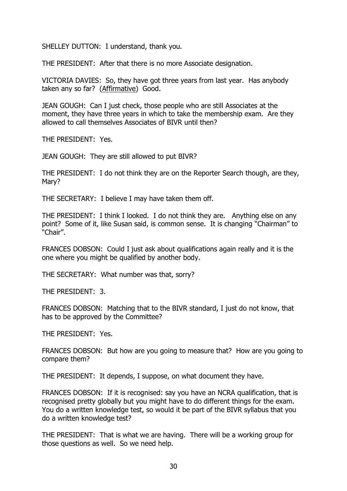SHELLEY DUTTON: I understand, thank you.

THE PRESIDENT: After that there is no more Associate designation.

VICTORIA DAVIES: So, they have got three years from last year. Has anybody taken any so far? (Affirmative) Good.

JEAN GOUGH: Can I just check, those people who are still Associates at the moment, they have three years in which to take the membership exam. Are they allowed to call themselves Associates of BIVR until then?

THE PRESIDENT: Yes.

JEAN GOUGH: They are still allowed to put BIVR?

THE PRESIDENT: I do not think they are on the Reporter Search though, are they, Mary?

THE SECRETARY: I believe I may have taken them off.

THE PRESIDENT: I think I looked. I do not think they are. Anything else on any point? Some of it, like Susan said, is common sense. It is changing "Chairman" to "Chair".

FRANCES DOBSON: Could I just ask about qualifications again really and it is the one where you might be qualified by another body.

THE SECRETARY: What number was that, sorry?

THE PRESIDENT: 3.

FRANCES DOBSON: Matching that to the BIVR standard, I just do not know, that has to be approved by the Committee?

THE PRESIDENT: Yes.

FRANCES DOBSON: But how are you going to measure that? How are you going to compare them?

THE PRESIDENT: It depends, I suppose, on what document they have.

FRANCES DOBSON: If it is recognised: say you have an NCRA qualification, that is recognised pretty globally but you might have to do different things for the exam. You do a written knowledge test, so would it be part of the BIVR syllabus that you do a written knowledge test?

THE PRESIDENT: That is what we are having. There will be a working group for those questions as well. So we need help.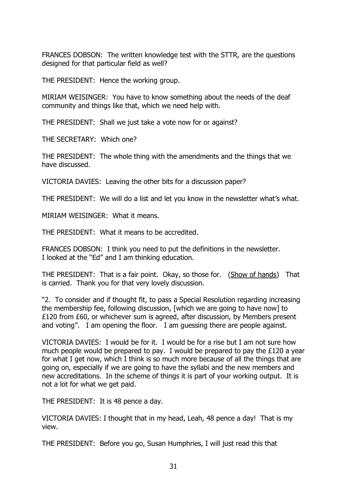FRANCES DOBSON: The written knowledge test with the STTR, are the questions designed for that particular field as well?

THE PRESIDENT: Hence the working group.

MIRIAM WEISINGER: You have to know something about the needs of the deaf community and things like that, which we need help with.

THE PRESIDENT: Shall we just take a vote now for or against?

THE SECRETARY: Which one?

THE PRESIDENT: The whole thing with the amendments and the things that we have discussed.

VICTORIA DAVIES: Leaving the other bits for a discussion paper?

THE PRESIDENT: We will do a list and let you know in the newsletter what's what.

MIRIAM WEISINGER: What it means.

THE PRESIDENT: What it means to be accredited.

FRANCES DOBSON: I think you need to put the definitions in the newsletter. I looked at the "Ed" and I am thinking education.

THE PRESIDENT: That is a fair point. Okay, so those for. (Show of hands) That is carried. Thank you for that very lovely discussion.

"2. To consider and if thought fit, to pass a Special Resolution regarding increasing the membership fee, following discussion, [which we are going to have now] to £120 from £60, or whichever sum is agreed, after discussion, by Members present and voting". I am opening the floor. I am guessing there are people against.

VICTORIA DAVIES: I would be for it. I would be for a rise but I am not sure how much people would be prepared to pay. I would be prepared to pay the £120 a year for what I get now, which I think is so much more because of all the things that are going on, especially if we are going to have the syllabi and the new members and new accreditations. In the scheme of things it is part of your working output. It is not a lot for what we get paid.

THE PRESIDENT: It is 48 pence a day.

VICTORIA DAVIES: I thought that in my head, Leah, 48 pence a day! That is my view.

THE PRESIDENT: Before you go, Susan Humphries, I will just read this that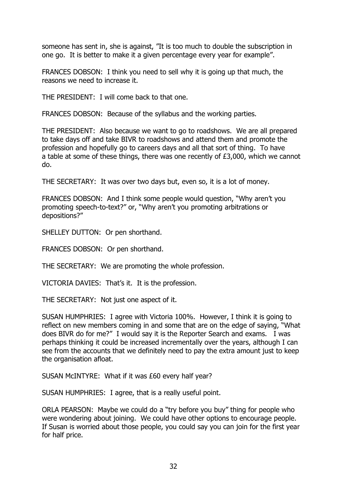someone has sent in, she is against, "It is too much to double the subscription in one go. It is better to make it a given percentage every year for example".

FRANCES DOBSON: I think you need to sell why it is going up that much, the reasons we need to increase it.

THE PRESIDENT: I will come back to that one.

FRANCES DOBSON: Because of the syllabus and the working parties.

THE PRESIDENT: Also because we want to go to roadshows. We are all prepared to take days off and take BIVR to roadshows and attend them and promote the profession and hopefully go to careers days and all that sort of thing. To have a table at some of these things, there was one recently of £3,000, which we cannot do.

THE SECRETARY: It was over two days but, even so, it is a lot of money.

FRANCES DOBSON: And I think some people would question, "Why aren't you promoting speech-to-text?" or, "Why aren't you promoting arbitrations or depositions?"

SHELLEY DUTTON: Or pen shorthand.

FRANCES DOBSON: Or pen shorthand.

THE SECRETARY: We are promoting the whole profession.

VICTORIA DAVIES: That's it. It is the profession.

THE SECRETARY: Not just one aspect of it.

SUSAN HUMPHRIES: I agree with Victoria 100%. However, I think it is going to reflect on new members coming in and some that are on the edge of saying, "What does BIVR do for me?" I would say it is the Reporter Search and exams. I was perhaps thinking it could be increased incrementally over the years, although I can see from the accounts that we definitely need to pay the extra amount just to keep the organisation afloat.

SUSAN McINTYRE: What if it was £60 every half year?

SUSAN HUMPHRIES: I agree, that is a really useful point.

ORLA PEARSON: Maybe we could do a "try before you buy" thing for people who were wondering about joining. We could have other options to encourage people. If Susan is worried about those people, you could say you can join for the first year for half price.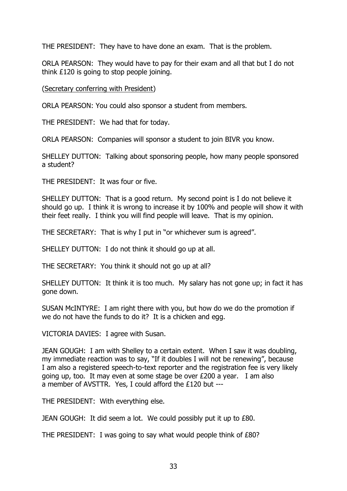THE PRESIDENT: They have to have done an exam. That is the problem.

ORLA PEARSON: They would have to pay for their exam and all that but I do not think £120 is going to stop people joining.

(Secretary conferring with President)

ORLA PEARSON: You could also sponsor a student from members.

THE PRESIDENT: We had that for today.

ORLA PEARSON: Companies will sponsor a student to join BIVR you know.

SHELLEY DUTTON: Talking about sponsoring people, how many people sponsored a student?

THE PRESIDENT: It was four or five.

SHELLEY DUTTON: That is a good return. My second point is I do not believe it should go up. I think it is wrong to increase it by 100% and people will show it with their feet really. I think you will find people will leave. That is my opinion.

THE SECRETARY: That is why I put in "or whichever sum is agreed".

SHELLEY DUTTON: I do not think it should go up at all.

THE SECRETARY: You think it should not go up at all?

SHELLEY DUTTON: It think it is too much. My salary has not gone up; in fact it has gone down.

SUSAN McINTYRE: I am right there with you, but how do we do the promotion if we do not have the funds to do it? It is a chicken and egg.

VICTORIA DAVIES: I agree with Susan.

JEAN GOUGH: I am with Shelley to a certain extent. When I saw it was doubling, my immediate reaction was to say, "If it doubles I will not be renewing", because I am also a registered speech-to-text reporter and the registration fee is very likely going up, too. It may even at some stage be over £200 a year. I am also a member of AVSTTR. Yes, I could afford the £120 but ---

THE PRESIDENT: With everything else.

JEAN GOUGH: It did seem a lot. We could possibly put it up to £80.

THE PRESIDENT: I was going to say what would people think of £80?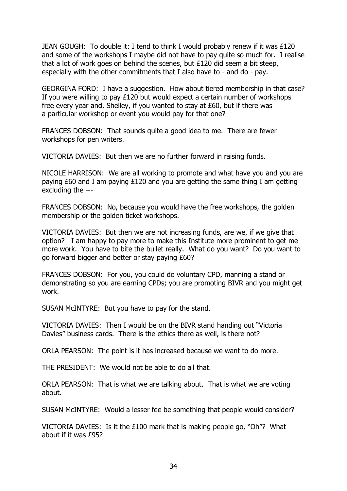JEAN GOUGH: To double it: I tend to think I would probably renew if it was £120 and some of the workshops I maybe did not have to pay quite so much for. I realise that a lot of work goes on behind the scenes, but £120 did seem a bit steep, especially with the other commitments that I also have to - and do - pay.

GEORGINA FORD: I have a suggestion. How about tiered membership in that case? If you were willing to pay £120 but would expect a certain number of workshops free every year and, Shelley, if you wanted to stay at £60, but if there was a particular workshop or event you would pay for that one?

FRANCES DOBSON: That sounds quite a good idea to me. There are fewer workshops for pen writers.

VICTORIA DAVIES: But then we are no further forward in raising funds.

NICOLE HARRISON: We are all working to promote and what have you and you are paying £60 and I am paying £120 and you are getting the same thing I am getting excluding the ---

FRANCES DOBSON: No, because you would have the free workshops, the golden membership or the golden ticket workshops.

VICTORIA DAVIES: But then we are not increasing funds, are we, if we give that option? I am happy to pay more to make this Institute more prominent to get me more work. You have to bite the bullet really. What do you want? Do you want to go forward bigger and better or stay paying £60?

FRANCES DOBSON: For you, you could do voluntary CPD, manning a stand or demonstrating so you are earning CPDs; you are promoting BIVR and you might get work.

SUSAN McINTYRE: But you have to pay for the stand.

VICTORIA DAVIES: Then I would be on the BIVR stand handing out "Victoria Davies" business cards. There is the ethics there as well, is there not?

ORLA PEARSON: The point is it has increased because we want to do more.

THE PRESIDENT: We would not be able to do all that.

ORLA PEARSON: That is what we are talking about. That is what we are voting about.

SUSAN McINTYRE: Would a lesser fee be something that people would consider?

VICTORIA DAVIES: Is it the £100 mark that is making people go, "Oh"? What about if it was £95?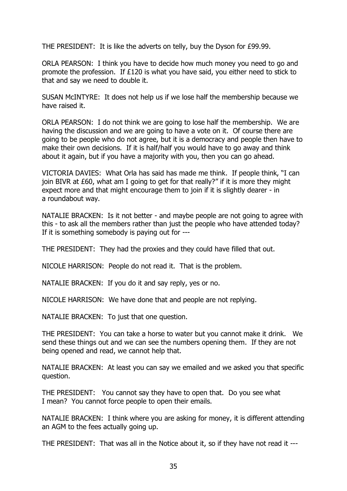THE PRESIDENT: It is like the adverts on telly, buy the Dyson for £99.99.

ORLA PEARSON: I think you have to decide how much money you need to go and promote the profession. If £120 is what you have said, you either need to stick to that and say we need to double it.

SUSAN McINTYRE: It does not help us if we lose half the membership because we have raised it.

ORLA PEARSON: I do not think we are going to lose half the membership. We are having the discussion and we are going to have a vote on it. Of course there are going to be people who do not agree, but it is a democracy and people then have to make their own decisions. If it is half/half you would have to go away and think about it again, but if you have a majority with you, then you can go ahead.

VICTORIA DAVIES: What Orla has said has made me think. If people think, "I can join BIVR at £60, what am I going to get for that really?" if it is more they might expect more and that might encourage them to join if it is slightly dearer - in a roundabout way.

NATALIE BRACKEN: Is it not better - and maybe people are not going to agree with this - to ask all the members rather than just the people who have attended today? If it is something somebody is paying out for ---

THE PRESIDENT: They had the proxies and they could have filled that out.

NICOLE HARRISON: People do not read it. That is the problem.

NATALIE BRACKEN: If you do it and say reply, yes or no.

NICOLE HARRISON: We have done that and people are not replying.

NATALIE BRACKEN: To just that one question.

THE PRESIDENT: You can take a horse to water but you cannot make it drink. We send these things out and we can see the numbers opening them. If they are not being opened and read, we cannot help that.

NATALIE BRACKEN: At least you can say we emailed and we asked you that specific question.

THE PRESIDENT: You cannot say they have to open that. Do you see what I mean? You cannot force people to open their emails.

NATALIE BRACKEN: I think where you are asking for money, it is different attending an AGM to the fees actually going up.

THE PRESIDENT: That was all in the Notice about it, so if they have not read it ---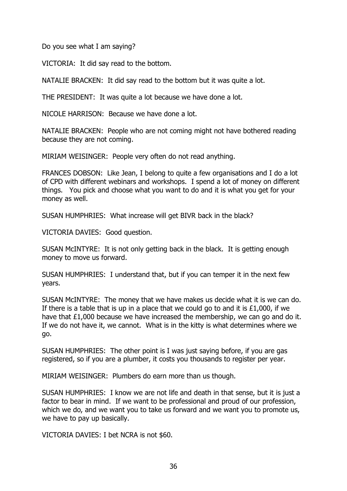Do you see what I am saying?

VICTORIA: It did say read to the bottom.

NATALIE BRACKEN: It did say read to the bottom but it was quite a lot.

THE PRESIDENT: It was quite a lot because we have done a lot.

NICOLE HARRISON: Because we have done a lot.

NATALIE BRACKEN: People who are not coming might not have bothered reading because they are not coming.

MIRIAM WEISINGER: People very often do not read anything.

FRANCES DOBSON: Like Jean, I belong to quite a few organisations and I do a lot of CPD with different webinars and workshops. I spend a lot of money on different things. You pick and choose what you want to do and it is what you get for your money as well.

SUSAN HUMPHRIES: What increase will get BIVR back in the black?

VICTORIA DAVIES: Good question.

SUSAN McINTYRE: It is not only getting back in the black. It is getting enough money to move us forward.

SUSAN HUMPHRIES: I understand that, but if you can temper it in the next few years.

SUSAN McINTYRE: The money that we have makes us decide what it is we can do. If there is a table that is up in a place that we could go to and it is £1,000, if we have that £1,000 because we have increased the membership, we can go and do it. If we do not have it, we cannot. What is in the kitty is what determines where we go.

SUSAN HUMPHRIES: The other point is I was just saying before, if you are gas registered, so if you are a plumber, it costs you thousands to register per year.

MIRIAM WEISINGER: Plumbers do earn more than us though.

SUSAN HUMPHRIES: I know we are not life and death in that sense, but it is just a factor to bear in mind. If we want to be professional and proud of our profession, which we do, and we want you to take us forward and we want you to promote us, we have to pay up basically.

VICTORIA DAVIES: I bet NCRA is not \$60.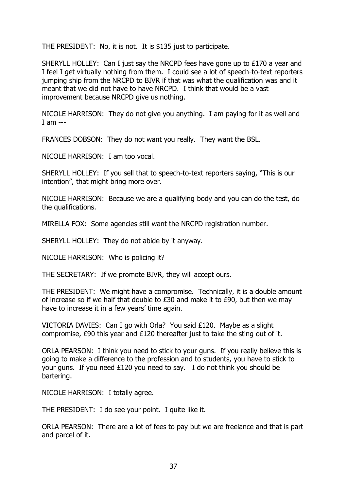THE PRESIDENT: No, it is not. It is \$135 just to participate.

SHERYLL HOLLEY: Can I just say the NRCPD fees have gone up to £170 a year and I feel I get virtually nothing from them. I could see a lot of speech-to-text reporters jumping ship from the NRCPD to BIVR if that was what the qualification was and it meant that we did not have to have NRCPD. I think that would be a vast improvement because NRCPD give us nothing.

NICOLE HARRISON: They do not give you anything. I am paying for it as well and I am ---

FRANCES DOBSON: They do not want you really. They want the BSL.

NICOLE HARRISON: I am too vocal.

SHERYLL HOLLEY: If you sell that to speech-to-text reporters saying, "This is our intention", that might bring more over.

NICOLE HARRISON: Because we are a qualifying body and you can do the test, do the qualifications.

MIRELLA FOX: Some agencies still want the NRCPD registration number.

SHERYLL HOLLEY: They do not abide by it anyway.

NICOLE HARRISON: Who is policing it?

THE SECRETARY: If we promote BIVR, they will accept ours.

THE PRESIDENT: We might have a compromise. Technically, it is a double amount of increase so if we half that double to £30 and make it to £90, but then we may have to increase it in a few years' time again.

VICTORIA DAVIES: Can I go with Orla? You said £120. Maybe as a slight compromise, £90 this year and £120 thereafter just to take the sting out of it.

ORLA PEARSON: I think you need to stick to your guns. If you really believe this is going to make a difference to the profession and to students, you have to stick to your guns. If you need £120 you need to say. I do not think you should be bartering.

NICOLE HARRISON: I totally agree.

THE PRESIDENT: I do see your point. I quite like it.

ORLA PEARSON: There are a lot of fees to pay but we are freelance and that is part and parcel of it.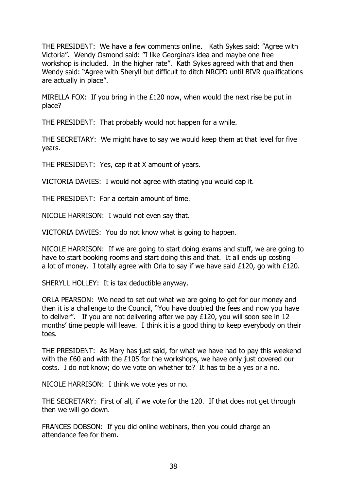THE PRESIDENT: We have a few comments online. Kath Sykes said: "Agree with Victoria". Wendy Osmond said: "I like Georgina's idea and maybe one free workshop is included. In the higher rate". Kath Sykes agreed with that and then Wendy said: "Agree with Sheryll but difficult to ditch NRCPD until BIVR qualifications are actually in place".

MIRELLA FOX: If you bring in the £120 now, when would the next rise be put in place?

THE PRESIDENT: That probably would not happen for a while.

THE SECRETARY: We might have to say we would keep them at that level for five years.

THE PRESIDENT: Yes, cap it at X amount of years.

VICTORIA DAVIES: I would not agree with stating you would cap it.

THE PRESIDENT: For a certain amount of time.

NICOLE HARRISON: I would not even say that.

VICTORIA DAVIES: You do not know what is going to happen.

NICOLE HARRISON: If we are going to start doing exams and stuff, we are going to have to start booking rooms and start doing this and that. It all ends up costing a lot of money. I totally agree with Orla to say if we have said £120, go with £120.

SHERYLL HOLLEY: It is tax deductible anyway.

ORLA PEARSON: We need to set out what we are going to get for our money and then it is a challenge to the Council, "You have doubled the fees and now you have to deliver". If you are not delivering after we pay £120, you will soon see in 12 months' time people will leave. I think it is a good thing to keep everybody on their toes.

THE PRESIDENT: As Mary has just said, for what we have had to pay this weekend with the £60 and with the £105 for the workshops, we have only just covered our costs. I do not know; do we vote on whether to? It has to be a yes or a no.

NICOLE HARRISON: I think we vote yes or no.

THE SECRETARY: First of all, if we vote for the 120. If that does not get through then we will go down.

FRANCES DOBSON: If you did online webinars, then you could charge an attendance fee for them.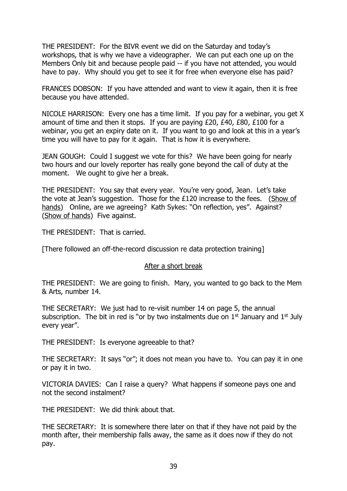THE PRESIDENT: For the BIVR event we did on the Saturday and today's workshops, that is why we have a videographer. We can put each one up on the Members Only bit and because people paid -- if you have not attended, you would have to pay. Why should you get to see it for free when everyone else has paid?

FRANCES DOBSON: If you have attended and want to view it again, then it is free because you have attended.

NICOLE HARRISON: Every one has a time limit. If you pay for a webinar, you get X amount of time and then it stops. If you are paying £20, £40, £80, £100 for a webinar, you get an expiry date on it. If you want to go and look at this in a year's time you will have to pay for it again. That is how it is everywhere.

JEAN GOUGH: Could I suggest we vote for this? We have been going for nearly two hours and our lovely reporter has really gone beyond the call of duty at the moment. We ought to give her a break.

THE PRESIDENT: You say that every year. You're very good, Jean. Let's take the vote at Jean's suggestion. Those for the  $E120$  increase to the fees. (Show of hands) Online, are we agreeing? Kath Sykes: "On reflection, yes". Against? (Show of hands) Five against.

THE PRESIDENT: That is carried.

[There followed an off-the-record discussion re data protection training]

#### After a short break

THE PRESIDENT: We are going to finish. Mary, you wanted to go back to the Mem & Arts, number 14.

THE SECRETARY: We just had to re-visit number 14 on page 5, the annual subscription. The bit in red is "or by two instalments due on  $1<sup>st</sup>$  January and  $1<sup>st</sup>$  July every year".

THE PRESIDENT: Is everyone agreeable to that?

THE SECRETARY: It says "or"; it does not mean you have to. You can pay it in one or pay it in two.

VICTORIA DAVIES: Can I raise a query? What happens if someone pays one and not the second instalment?

THE PRESIDENT: We did think about that.

THE SECRETARY: It is somewhere there later on that if they have not paid by the month after, their membership falls away, the same as it does now if they do not pay.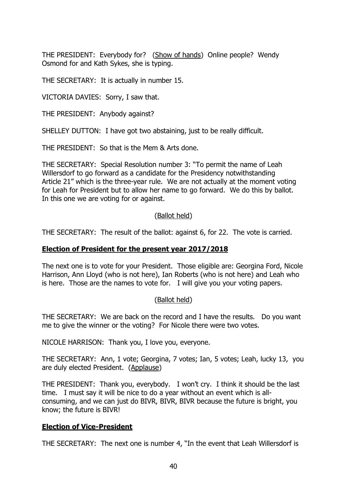THE PRESIDENT: Everybody for? (Show of hands) Online people? Wendy Osmond for and Kath Sykes, she is typing.

THE SECRETARY: It is actually in number 15.

VICTORIA DAVIES: Sorry, I saw that.

THE PRESIDENT: Anybody against?

SHELLEY DUTTON: I have got two abstaining, just to be really difficult.

THE PRESIDENT: So that is the Mem & Arts done.

THE SECRETARY: Special Resolution number 3: "To permit the name of Leah Willersdorf to go forward as a candidate for the Presidency notwithstanding Article 21" which is the three-year rule. We are not actually at the moment voting for Leah for President but to allow her name to go forward. We do this by ballot. In this one we are voting for or against.

#### (Ballot held)

THE SECRETARY: The result of the ballot: against 6, for 22. The vote is carried.

#### **Election of President for the present year 2017/2018**

The next one is to vote for your President. Those eligible are: Georgina Ford, Nicole Harrison, Ann Lloyd (who is not here), Ian Roberts (who is not here) and Leah who is here. Those are the names to vote for. I will give you your voting papers.

### (Ballot held)

THE SECRETARY: We are back on the record and I have the results. Do you want me to give the winner or the voting? For Nicole there were two votes.

NICOLE HARRISON: Thank you, I love you, everyone.

THE SECRETARY: Ann, 1 vote; Georgina, 7 votes; Ian, 5 votes; Leah, lucky 13, you are duly elected President. (Applause)

THE PRESIDENT: Thank you, everybody. I won't cry. I think it should be the last time. I must say it will be nice to do a year without an event which is allconsuming, and we can just do BIVR, BIVR, BIVR because the future is bright, you know; the future is BIVR!

### **Election of Vice-President**

THE SECRETARY: The next one is number 4, "In the event that Leah Willersdorf is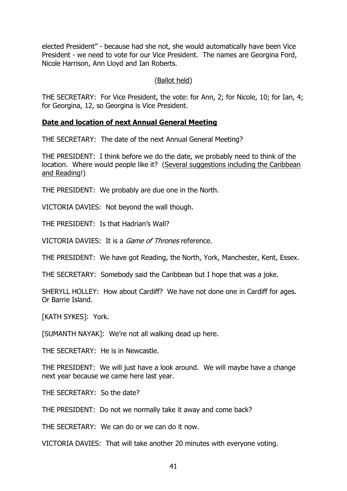elected President" - because had she not, she would automatically have been Vice President - we need to vote for our Vice President. The names are Georgina Ford, Nicole Harrison, Ann Lloyd and Ian Roberts.

#### (Ballot held)

THE SECRETARY: For Vice President, the vote: for Ann, 2; for Nicole, 10; for Ian, 4; for Georgina, 12, so Georgina is Vice President.

#### **Date and location of next Annual General Meeting**

THE SECRETARY: The date of the next Annual General Meeting?

THE PRESIDENT: I think before we do the date, we probably need to think of the location. Where would people like it? (Several suggestions including the Caribbean and Reading!)

THE PRESIDENT: We probably are due one in the North.

VICTORIA DAVIES: Not beyond the wall though.

THE PRESIDENT: Is that Hadrian's Wall?

VICTORIA DAVIES: It is a Game of Thrones reference.

THE PRESIDENT: We have got Reading, the North, York, Manchester, Kent, Essex.

THE SECRETARY: Somebody said the Caribbean but I hope that was a joke.

SHERYLL HOLLEY: How about Cardiff? We have not done one in Cardiff for ages. Or Barrie Island.

[KATH SYKES]: York.

[SUMANTH NAYAK]: We're not all walking dead up here.

THE SECRETARY: He is in Newcastle.

THE PRESIDENT: We will just have a look around. We will maybe have a change next year because we came here last year.

THE SECRETARY: So the date?

THE PRESIDENT: Do not we normally take it away and come back?

THE SECRETARY: We can do or we can do it now.

VICTORIA DAVIES: That will take another 20 minutes with everyone voting.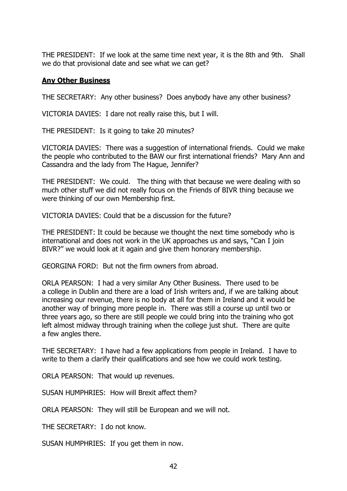THE PRESIDENT: If we look at the same time next year, it is the 8th and 9th. Shall we do that provisional date and see what we can get?

#### **Any Other Business**

THE SECRETARY: Any other business? Does anybody have any other business?

VICTORIA DAVIES: I dare not really raise this, but I will.

THE PRESIDENT: Is it going to take 20 minutes?

VICTORIA DAVIES: There was a suggestion of international friends. Could we make the people who contributed to the BAW our first international friends? Mary Ann and Cassandra and the lady from The Hague, Jennifer?

THE PRESIDENT: We could. The thing with that because we were dealing with so much other stuff we did not really focus on the Friends of BIVR thing because we were thinking of our own Membership first.

VICTORIA DAVIES: Could that be a discussion for the future?

THE PRESIDENT: It could be because we thought the next time somebody who is international and does not work in the UK approaches us and says, "Can I join BIVR?" we would look at it again and give them honorary membership.

GEORGINA FORD: But not the firm owners from abroad.

ORLA PEARSON: I had a very similar Any Other Business. There used to be a college in Dublin and there are a load of Irish writers and, if we are talking about increasing our revenue, there is no body at all for them in Ireland and it would be another way of bringing more people in. There was still a course up until two or three years ago, so there are still people we could bring into the training who got left almost midway through training when the college just shut. There are quite a few angles there.

THE SECRETARY: I have had a few applications from people in Ireland. I have to write to them a clarify their qualifications and see how we could work testing.

ORLA PEARSON: That would up revenues.

SUSAN HUMPHRIES: How will Brexit affect them?

ORLA PEARSON: They will still be European and we will not.

THE SECRETARY: I do not know.

SUSAN HUMPHRIES: If you get them in now.